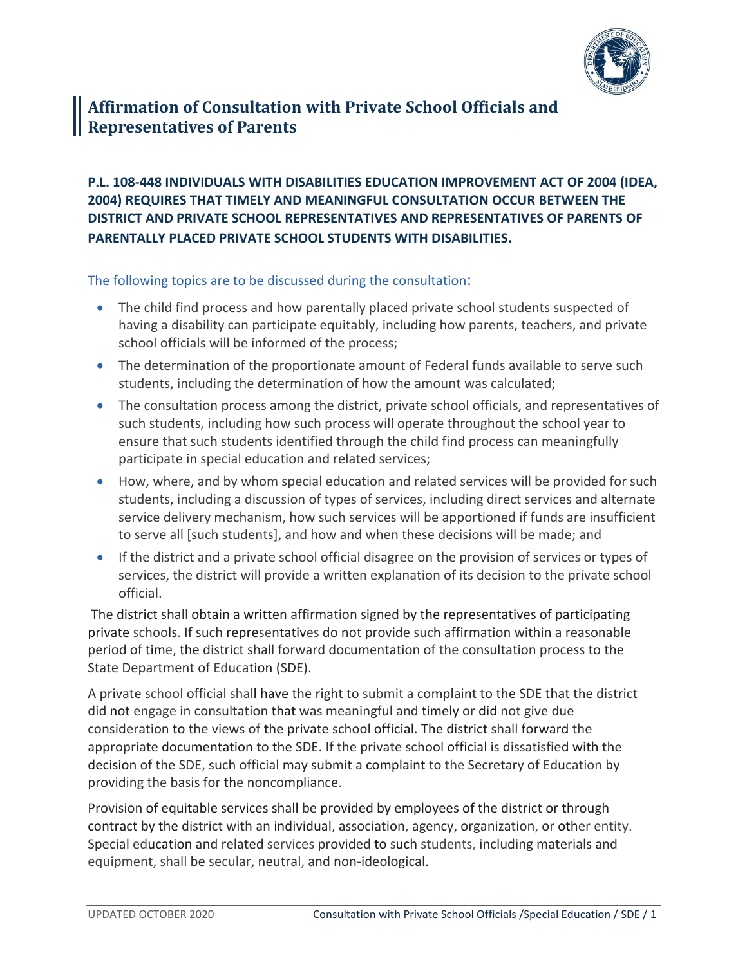

## **Affirmation of Consultation with Private School Officials and Representatives of Parents**

## **P.L. 108-448 INDIVIDUALS WITH DISABILITIES EDUCATION IMPROVEMENT ACT OF 2004 (IDEA, 2004) REQUIRES THAT TIMELY AND MEANINGFUL CONSULTATION OCCUR BETWEEN THE DISTRICT AND PRIVATE SCHOOL REPRESENTATIVES AND REPRESENTATIVES OF PARENTS OF PARENTALLY PLACED PRIVATE SCHOOL STUDENTS WITH DISABILITIES.**

The following topics are to be discussed during the consultation:

- The child find process and how parentally placed private school students suspected of having a disability can participate equitably, including how parents, teachers, and private school officials will be informed of the process;
- The determination of the proportionate amount of Federal funds available to serve such students, including the determination of how the amount was calculated;
- The consultation process among the district, private school officials, and representatives of such students, including how such process will operate throughout the school year to ensure that such students identified through the child find process can meaningfully participate in special education and related services;
- How, where, and by whom special education and related services will be provided for such students, including a discussion of types of services, including direct services and alternate service delivery mechanism, how such services will be apportioned if funds are insufficient to serve all [such students], and how and when these decisions will be made; and
- If the district and a private school official disagree on the provision of services or types of services, the district will provide a written explanation of its decision to the private school official.

The district shall obtain a written affirmation signed by the representatives of participating private schools. If such representatives do not provide such affirmation within a reasonable period of time, the district shall forward documentation of the consultation process to the State Department of Education (SDE).

A private school official shall have the right to submit a complaint to the SDE that the district did not engage in consultation that was meaningful and timely or did not give due consideration to the views of the private school official. The district shall forward the appropriate documentation to the SDE. If the private school official is dissatisfied with the decision of the SDE, such official may submit a complaint to the Secretary of Education by providing the basis for the noncompliance.

Provision of equitable services shall be provided by employees of the district or through contract by the district with an individual, association, agency, organization, or other entity. Special education and related services provided to such students, including materials and equipment, shall be secular, neutral, and non-ideological.